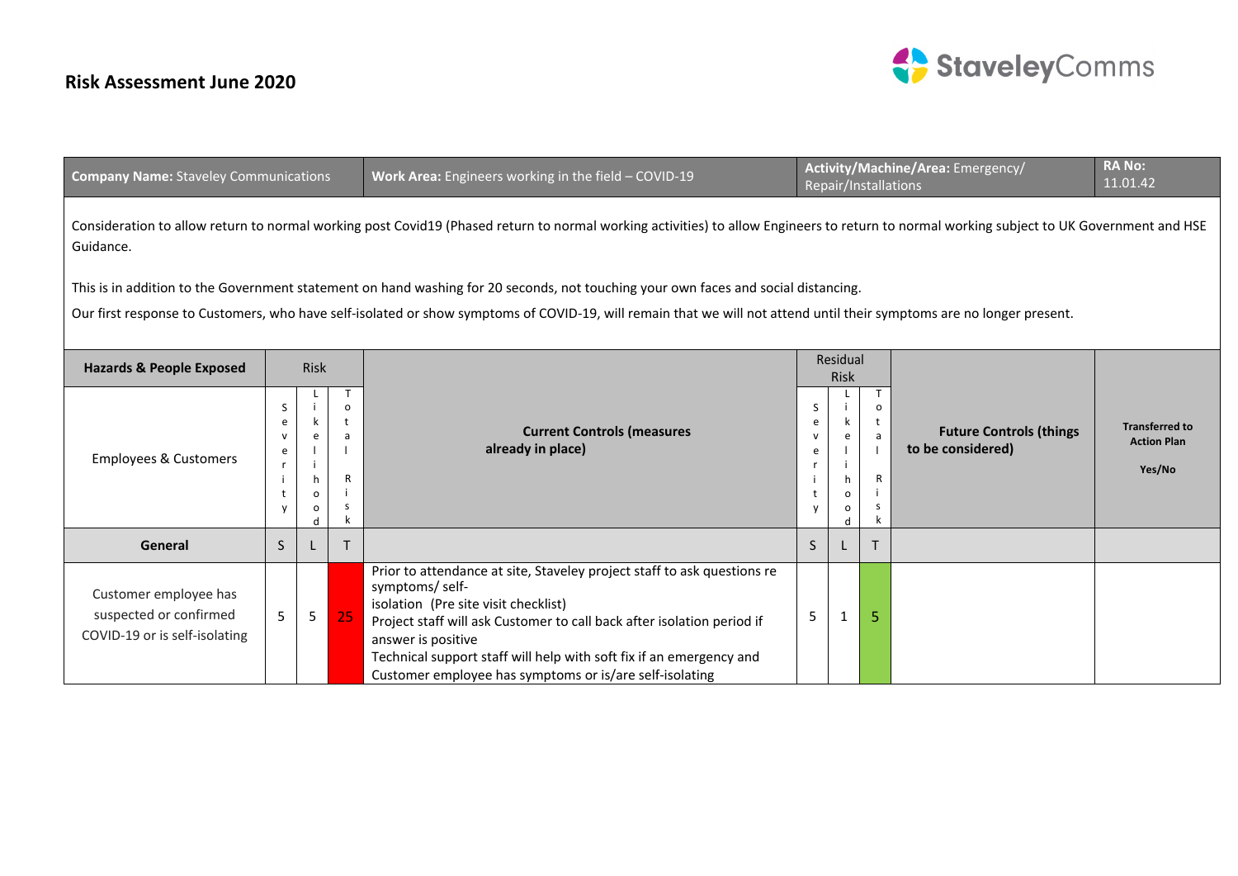## **Risk Assessment June 2020**



| <b>Company Name: Staveley Communications</b>                                                                                                                                                           |                            |                           |                    | Work Area: Engineers working in the field - COVID-19                                                                                                                                                                                                                                                                                                                 | Activity/Machine/Area: Emergency/<br>Repair/Installations |                                |   |                                                     | <b>RA No:</b><br>11.01.42                             |
|--------------------------------------------------------------------------------------------------------------------------------------------------------------------------------------------------------|----------------------------|---------------------------|--------------------|----------------------------------------------------------------------------------------------------------------------------------------------------------------------------------------------------------------------------------------------------------------------------------------------------------------------------------------------------------------------|-----------------------------------------------------------|--------------------------------|---|-----------------------------------------------------|-------------------------------------------------------|
| Consideration to allow return to normal working post Covid19 (Phased return to normal working activities) to allow Engineers to return to normal working subject to UK Government and HSE<br>Guidance. |                            |                           |                    |                                                                                                                                                                                                                                                                                                                                                                      |                                                           |                                |   |                                                     |                                                       |
| This is in addition to the Government statement on hand washing for 20 seconds, not touching your own faces and social distancing.                                                                     |                            |                           |                    |                                                                                                                                                                                                                                                                                                                                                                      |                                                           |                                |   |                                                     |                                                       |
| Our first response to Customers, who have self-isolated or show symptoms of COVID-19, will remain that we will not attend until their symptoms are no longer present.                                  |                            |                           |                    |                                                                                                                                                                                                                                                                                                                                                                      |                                                           |                                |   |                                                     |                                                       |
| <b>Hazards &amp; People Exposed</b>                                                                                                                                                                    |                            | <b>Risk</b>               |                    |                                                                                                                                                                                                                                                                                                                                                                      | Residual<br><b>Risk</b>                                   |                                |   |                                                     |                                                       |
| <b>Employees &amp; Customers</b>                                                                                                                                                                       | S<br>e<br>$\mathbf v$<br>e | h<br>$\Omega$<br>$\Omega$ | $\Omega$<br>R<br>s | <b>Current Controls (measures</b><br>already in place)                                                                                                                                                                                                                                                                                                               | S<br>e<br>v<br>e                                          | e<br>h<br>$\Omega$<br>$\Omega$ | R | <b>Future Controls (things</b><br>to be considered) | <b>Transferred to</b><br><b>Action Plan</b><br>Yes/No |
| General                                                                                                                                                                                                | S.                         |                           |                    |                                                                                                                                                                                                                                                                                                                                                                      | S.                                                        |                                |   |                                                     |                                                       |
| Customer employee has<br>suspected or confirmed<br>COVID-19 or is self-isolating                                                                                                                       | 5 <sup>1</sup>             | 5                         | 25                 | Prior to attendance at site, Staveley project staff to ask questions re<br>symptoms/ self-<br>isolation (Pre site visit checklist)<br>Project staff will ask Customer to call back after isolation period if<br>answer is positive<br>Technical support staff will help with soft fix if an emergency and<br>Customer employee has symptoms or is/are self-isolating | 5                                                         | 1                              | 5 |                                                     |                                                       |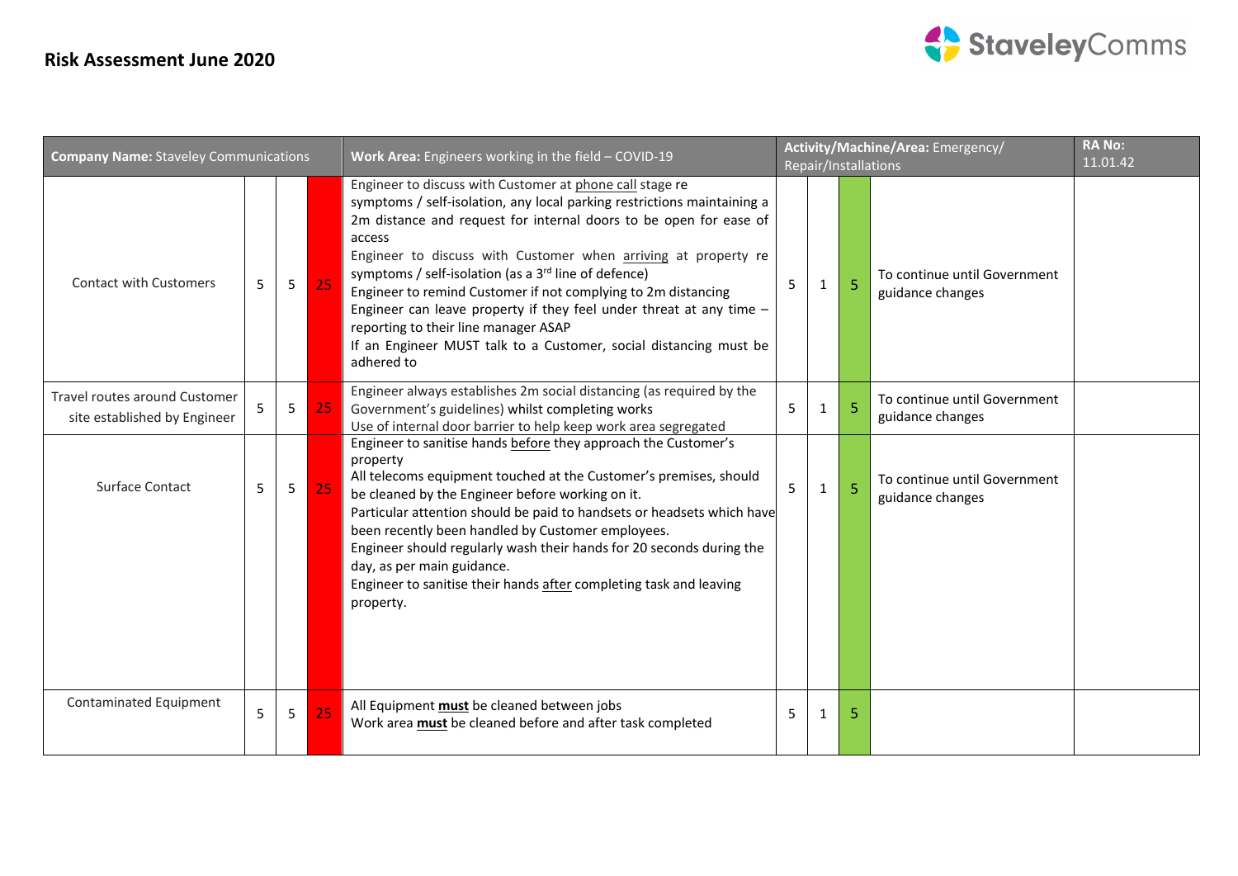## **Risk Assessment June 2020**



| <b>Company Name: Staveley Communications</b>                  |   |                |    | Work Area: Engineers working in the field - COVID-19                                                                                                                                                                                                                                                                                                                                                                                                                                                                                                                                                                          |   |              |   | Activity/Machine/Area: Emergency/<br>Repair/Installations | <b>RA No:</b><br>11.01.42 |
|---------------------------------------------------------------|---|----------------|----|-------------------------------------------------------------------------------------------------------------------------------------------------------------------------------------------------------------------------------------------------------------------------------------------------------------------------------------------------------------------------------------------------------------------------------------------------------------------------------------------------------------------------------------------------------------------------------------------------------------------------------|---|--------------|---|-----------------------------------------------------------|---------------------------|
| <b>Contact with Customers</b>                                 | 5 | 5              | 25 | Engineer to discuss with Customer at phone call stage re<br>symptoms / self-isolation, any local parking restrictions maintaining a<br>2m distance and request for internal doors to be open for ease of<br>access<br>Engineer to discuss with Customer when arriving at property re<br>symptoms / self-isolation (as a 3 <sup>rd</sup> line of defence)<br>Engineer to remind Customer if not complying to 2m distancing<br>Engineer can leave property if they feel under threat at any time $-$<br>reporting to their line manager ASAP<br>If an Engineer MUST talk to a Customer, social distancing must be<br>adhered to | 5 | $\mathbf{1}$ | 5 | To continue until Government<br>guidance changes          |                           |
| Travel routes around Customer<br>site established by Engineer | 5 | 5              | 25 | Engineer always establishes 2m social distancing (as required by the<br>Government's guidelines) whilst completing works<br>Use of internal door barrier to help keep work area segregated                                                                                                                                                                                                                                                                                                                                                                                                                                    | 5 | $\mathbf{1}$ | 5 | To continue until Government<br>guidance changes          |                           |
| Surface Contact                                               | 5 | 5              | 25 | Engineer to sanitise hands before they approach the Customer's<br>property<br>All telecoms equipment touched at the Customer's premises, should<br>be cleaned by the Engineer before working on it.<br>Particular attention should be paid to handsets or headsets which have<br>been recently been handled by Customer employees.<br>Engineer should regularly wash their hands for 20 seconds during the<br>day, as per main guidance.<br>Engineer to sanitise their hands after completing task and leaving<br>property.                                                                                                   | 5 | $\mathbf{1}$ | 5 | To continue until Government<br>guidance changes          |                           |
| Contaminated Equipment                                        | 5 | $\overline{5}$ | 25 | All Equipment must be cleaned between jobs<br>Work area must be cleaned before and after task completed                                                                                                                                                                                                                                                                                                                                                                                                                                                                                                                       | 5 | $\mathbf{1}$ | 5 |                                                           |                           |